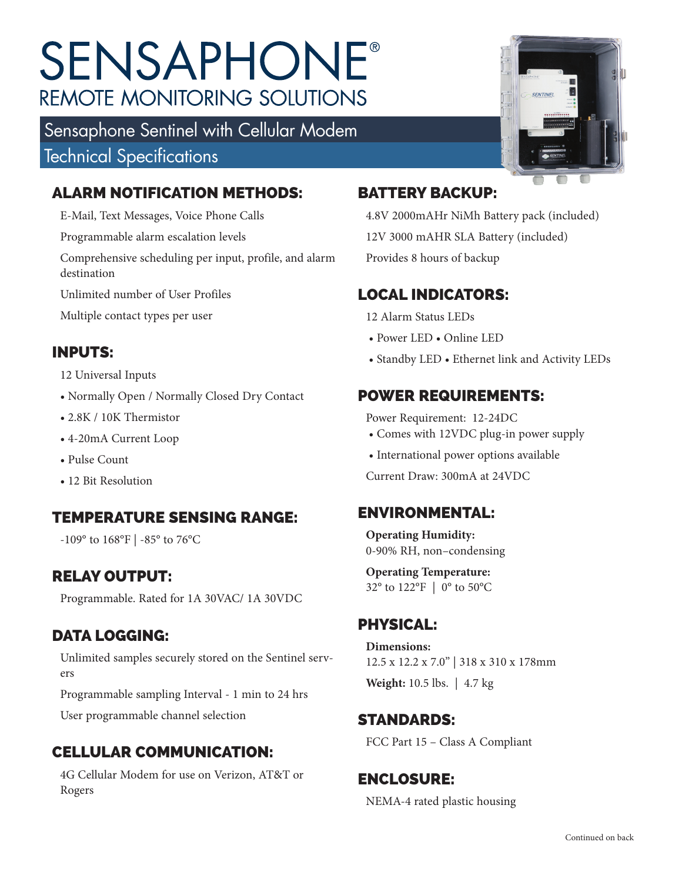# **SENSAPHONE® REMOTE MONITORING SOLUTIONS**

Sensaphone Sentinel with Cellular Modem Technical Specifications

### ALARM NOTIFICATION METHODS:

E-Mail, Text Messages, Voice Phone Calls

Programmable alarm escalation levels

Comprehensive scheduling per input, profile, and alarm destination

Unlimited number of User Profiles

Multiple contact types per user

## INPUTS:

#### 12 Universal Inputs

- Normally Open / Normally Closed Dry Contact
- 2.8K / 10K Thermistor
- 4-20mA Current Loop
- Pulse Count
- 12 Bit Resolution

#### TEMPERATURE SENSING RANGE:

-109° to 168°F | -85° to 76°C

#### RELAY OUTPUT:

Programmable. Rated for 1A 30VAC/ 1A 30VDC

#### DATA LOGGING:

Unlimited samples securely stored on the Sentinel servers

Programmable sampling Interval - 1 min to 24 hrs

User programmable channel selection

## CELLULAR COMMUNICATION:

4G Cellular Modem for use on Verizon, AT&T or Rogers



#### BATTERY BACKUP:

4.8V 2000mAHr NiMh Battery pack (included) 12V 3000 mAHR SLA Battery (included) Provides 8 hours of backup

## LOCAL INDICATORS:

12 Alarm Status LEDs

- Power LED Online LED
- Standby LED Ethernet link and Activity LEDs

## POWER REQUIREMENTS:

Power Requirement: 12-24DC

- Comes with 12VDC plug-in power supply
- International power options available

Current Draw: 300mA at 24VDC

#### ENVIRONMENTAL:

**Operating Humidity:** 0-90% RH, non–condensing

**Operating Temperature:**  32° to 122°F | 0° to 50°C

## PHYSICAL:

**Dimensions:**  12.5 x 12.2 x 7.0" | 318 x 310 x 178mm **Weight:** 10.5 lbs. | 4.7 kg

#### STANDARDS:

FCC Part 15 – Class A Compliant

#### ENCLOSURE:

NEMA-4 rated plastic housing